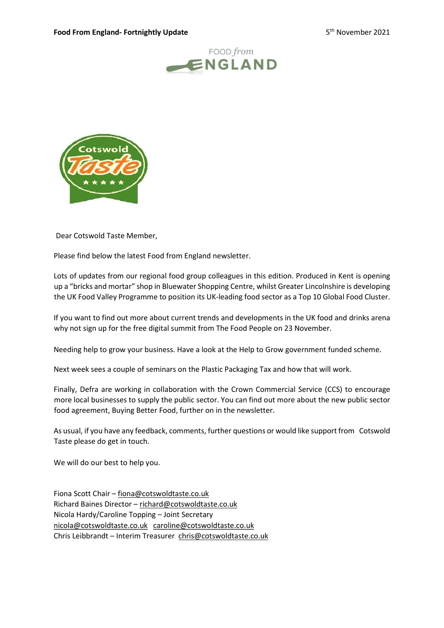



Dear Cotswold Taste Member,

Please find below the latest Food from England newsletter.

Lots of updates from our regional food group colleagues in this edition. Produced in Kent is opening up a "bricks and mortar" shop in Bluewater Shopping Centre, whilst Greater Lincolnshire is developing the UK Food Valley Programme to position its UK-leading food sector as a Top 10 Global Food Cluster.

If you want to find out more about current trends and developments in the UK food and drinks arena why not sign up for the free digital summit from The Food People on 23 November.

Needing help to grow your business. Have a look at the Help to Grow government funded scheme.

Next week sees a couple of seminars on the Plastic Packaging Tax and how that will work.

Finally, Defra are working in collaboration with the Crown Commercial Service (CCS) to encourage more local businesses to supply the public sector. You can find out more about the new public sector food agreement, Buying Better Food, further on in the newsletter.

As usual, if you have any feedback, comments, further questions or would like support from Cotswold Taste please do get in touch.

We will do our best to help you.

Fiona Scott Chair – fiona@cotswoldtaste.co.uk Richard Baines Director – richard@cotswoldtaste.co.uk Nicola Hardy/Caroline Topping – Joint Secretary nicola@cotswoldtaste.co.uk caroline@cotswoldtaste.co.uk Chris Leibbrandt – Interim Treasurer chris@cotswoldtaste.co.uk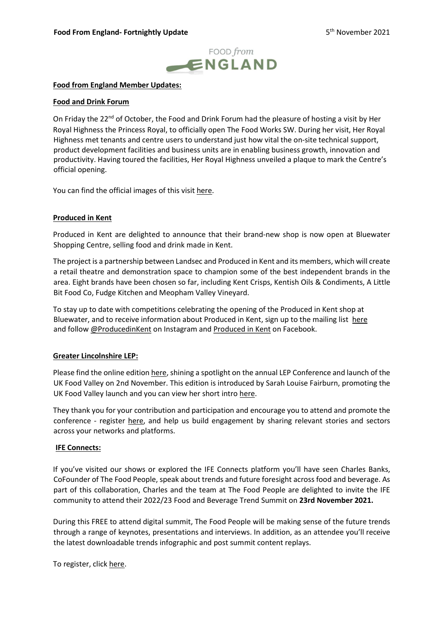

## Food from England Member Updates:

### Food and Drink Forum

On Friday the 22<sup>nd</sup> of October, the Food and Drink Forum had the pleasure of hosting a visit by Her Royal Highness the Princess Royal, to officially open The Food Works SW. During her visit, Her Royal Highness met tenants and centre users to understand just how vital the on-site technical support, product development facilities and business units are in enabling business growth, innovation and productivity. Having toured the facilities, Her Royal Highness unveiled a plaque to mark the Centre's official opening.

You can find the official images of this visit here.

### Produced in Kent

Produced in Kent are delighted to announce that their brand-new shop is now open at Bluewater Shopping Centre, selling food and drink made in Kent.

The project is a partnership between Landsec and Produced in Kent and its members, which will create a retail theatre and demonstration space to champion some of the best independent brands in the area. Eight brands have been chosen so far, including Kent Crisps, Kentish Oils & Condiments, A Little Bit Food Co, Fudge Kitchen and Meopham Valley Vineyard.

To stay up to date with competitions celebrating the opening of the Produced in Kent shop at Bluewater, and to receive information about Produced in Kent, sign up to the mailing list here and follow @ProducedinKent on Instagram and Produced in Kent on Facebook.

## Greater Lincolnshire LEP:

Please find the online edition here, shining a spotlight on the annual LEP Conference and launch of the UK Food Valley on 2nd November. This edition is introduced by Sarah Louise Fairburn, promoting the UK Food Valley launch and you can view her short intro here.

They thank you for your contribution and participation and encourage you to attend and promote the conference - register here, and help us build engagement by sharing relevant stories and sectors across your networks and platforms.

#### IFE Connects:

If you've visited our shows or explored the IFE Connects platform you'll have seen Charles Banks, CoFounder of The Food People, speak about trends and future foresight across food and beverage. As part of this collaboration, Charles and the team at The Food People are delighted to invite the IFE community to attend their 2022/23 Food and Beverage Trend Summit on 23rd November 2021.

During this FREE to attend digital summit, The Food People will be making sense of the future trends through a range of keynotes, presentations and interviews. In addition, as an attendee you'll receive the latest downloadable trends infographic and post summit content replays.

To register, click here.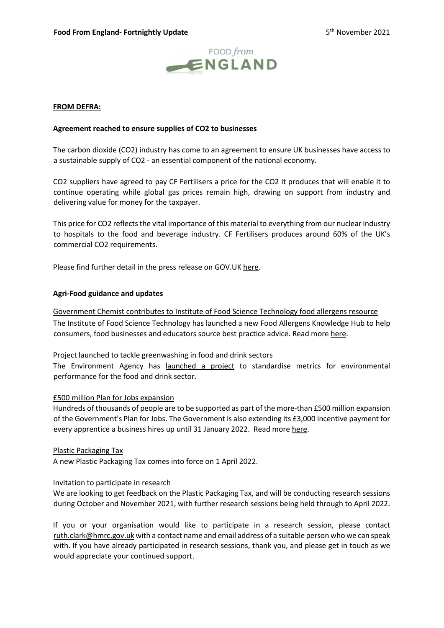

## FROM DEFRA:

## Agreement reached to ensure supplies of CO2 to businesses

The carbon dioxide (CO2) industry has come to an agreement to ensure UK businesses have access to a sustainable supply of CO2 - an essential component of the national economy.

CO2 suppliers have agreed to pay CF Fertilisers a price for the CO2 it produces that will enable it to continue operating while global gas prices remain high, drawing on support from industry and delivering value for money for the taxpayer.

This price for CO2 reflects the vital importance of this material to everything from our nuclear industry to hospitals to the food and beverage industry. CF Fertilisers produces around 60% of the UK's commercial CO2 requirements.

Please find further detail in the press release on GOV.UK here.

### Agri-Food guidance and updates

Government Chemist contributes to Institute of Food Science Technology food allergens resource

The Institute of Food Science Technology has launched a new Food Allergens Knowledge Hub to help consumers, food businesses and educators source best practice advice. Read more here.

## Project launched to tackle greenwashing in food and drink sectors

The Environment Agency has launched a project to standardise metrics for environmental performance for the food and drink sector.

#### £500 million Plan for Jobs expansion

Hundreds of thousands of people are to be supported as part of the more-than £500 million expansion of the Government's Plan for Jobs. The Government is also extending its £3,000 incentive payment for every apprentice a business hires up until 31 January 2022. Read more here.

#### Plastic Packaging Tax

A new Plastic Packaging Tax comes into force on 1 April 2022.

## Invitation to participate in research

We are looking to get feedback on the Plastic Packaging Tax, and will be conducting research sessions during October and November 2021, with further research sessions being held through to April 2022.

If you or your organisation would like to participate in a research session, please contact ruth.clark@hmrc.gov.uk with a contact name and email address of a suitable person who we can speak with. If you have already participated in research sessions, thank you, and please get in touch as we would appreciate your continued support.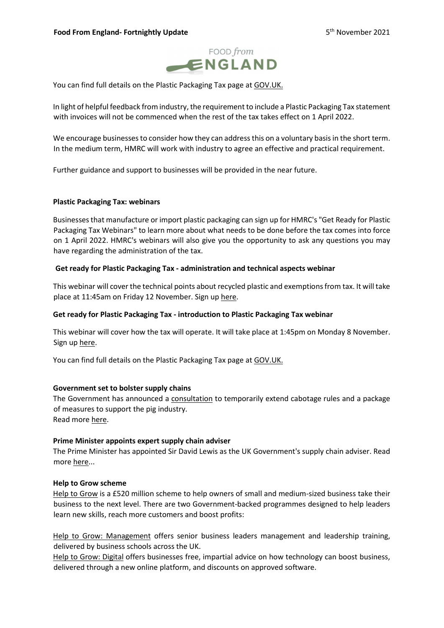

You can find full details on the Plastic Packaging Tax page at GOV.UK.

In light of helpful feedback from industry, the requirement to include a Plastic Packaging Tax statement with invoices will not be commenced when the rest of the tax takes effect on 1 April 2022.

We encourage businesses to consider how they can address this on a voluntary basis in the short term. In the medium term, HMRC will work with industry to agree an effective and practical requirement.

Further guidance and support to businesses will be provided in the near future.

### Plastic Packaging Tax: webinars

Businesses that manufacture or import plastic packaging can sign up for HMRC's "Get Ready for Plastic Packaging Tax Webinars" to learn more about what needs to be done before the tax comes into force on 1 April 2022. HMRC's webinars will also give you the opportunity to ask any questions you may have regarding the administration of the tax.

### Get ready for Plastic Packaging Tax - administration and technical aspects webinar

This webinar will cover the technical points about recycled plastic and exemptions from tax. It will take place at 11:45am on Friday 12 November. Sign up here.

## Get ready for Plastic Packaging Tax - introduction to Plastic Packaging Tax webinar

This webinar will cover how the tax will operate. It will take place at 1:45pm on Monday 8 November. Sign up here.

You can find full details on the Plastic Packaging Tax page at GOV.UK.

#### Government set to bolster supply chains

The Government has announced a consultation to temporarily extend cabotage rules and a package of measures to support the pig industry. Read more here.

## Prime Minister appoints expert supply chain adviser

The Prime Minister has appointed Sir David Lewis as the UK Government's supply chain adviser. Read more here...

#### Help to Grow scheme

Help to Grow is a £520 million scheme to help owners of small and medium-sized business take their business to the next level. There are two Government-backed programmes designed to help leaders learn new skills, reach more customers and boost profits:

Help to Grow: Management offers senior business leaders management and leadership training, delivered by business schools across the UK.

Help to Grow: Digital offers businesses free, impartial advice on how technology can boost business, delivered through a new online platform, and discounts on approved software.